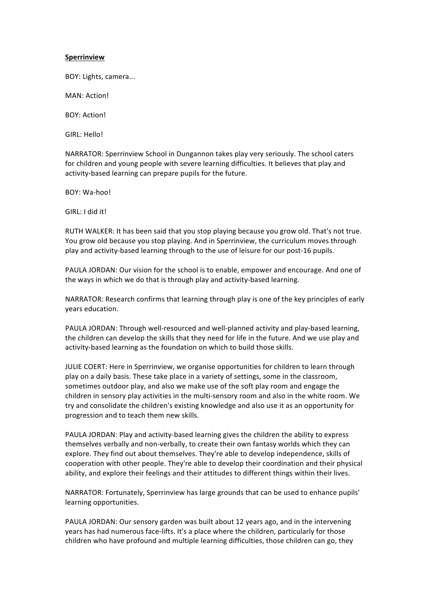## **Sperrinview**

BOY: Lights, camera...

MAN: Action!

**BOY: Action!** 

GIRL: Hello!

NARRATOR: Sperrinview School in Dungannon takes play very seriously. The school caters for children and young people with severe learning difficulties. It believes that play and activity-based learning can prepare pupils for the future.

BOY: Wa-hoo!

GIRL: I did it!

RUTH WALKER: It has been said that you stop playing because you grow old. That's not true. You grow old because you stop playing. And in Sperrinview, the curriculum moves through play and activity-based learning through to the use of leisure for our post-16 pupils.

PAULA JORDAN: Our vision for the school is to enable, empower and encourage. And one of the ways in which we do that is through play and activity-based learning.

NARRATOR: Research confirms that learning through play is one of the key principles of early years education.

PAULA JORDAN: Through well-resourced and well-planned activity and play-based learning, the children can develop the skills that they need for life in the future. And we use play and activity-based learning as the foundation on which to build those skills.

JULIE COERT: Here in Sperrinview, we organise opportunities for children to learn through play on a daily basis. These take place in a variety of settings, some in the classroom, sometimes outdoor play, and also we make use of the soft play room and engage the children in sensory play activities in the multi-sensory room and also in the white room. We try and consolidate the children's existing knowledge and also use it as an opportunity for progression and to teach them new skills.

PAULA JORDAN: Play and activity-based learning gives the children the ability to express themselves verbally and non-verbally, to create their own fantasy worlds which they can explore. They find out about themselves. They're able to develop independence, skills of cooperation with other people. They're able to develop their coordination and their physical ability, and explore their feelings and their attitudes to different things within their lives.

NARRATOR: Fortunately, Sperrinview has large grounds that can be used to enhance pupils' learning opportunities.

PAULA JORDAN: Our sensory garden was built about 12 years ago, and in the intervening years has had numerous face-lifts. It's a place where the children, particularly for those children who have profound and multiple learning difficulties, those children can go, they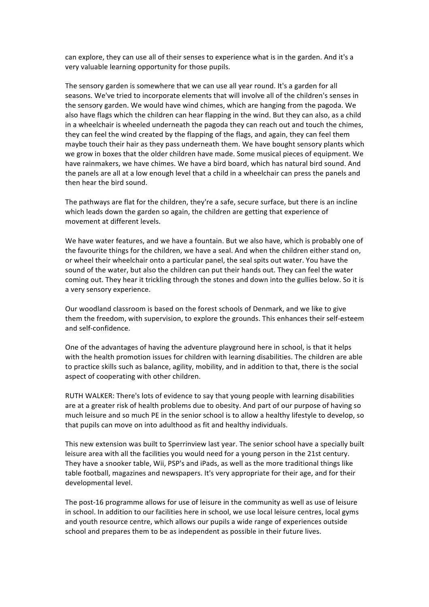can explore, they can use all of their senses to experience what is in the garden. And it's a very valuable learning opportunity for those pupils.

The sensory garden is somewhere that we can use all year round. It's a garden for all seasons. We've tried to incorporate elements that will involve all of the children's senses in the sensory garden. We would have wind chimes, which are hanging from the pagoda. We also have flags which the children can hear flapping in the wind. But they can also, as a child in a wheelchair is wheeled underneath the pagoda they can reach out and touch the chimes, they can feel the wind created by the flapping of the flags, and again, they can feel them maybe touch their hair as they pass underneath them. We have bought sensory plants which we grow in boxes that the older children have made. Some musical pieces of equipment. We have rainmakers, we have chimes. We have a bird board, which has natural bird sound. And the panels are all at a low enough level that a child in a wheelchair can press the panels and then hear the bird sound.

The pathways are flat for the children, they're a safe, secure surface, but there is an incline which leads down the garden so again, the children are getting that experience of movement at different levels.

We have water features, and we have a fountain. But we also have, which is probably one of the favourite things for the children, we have a seal. And when the children either stand on, or wheel their wheelchair onto a particular panel, the seal spits out water. You have the sound of the water, but also the children can put their hands out. They can feel the water coming out. They hear it trickling through the stones and down into the gullies below. So it is a very sensory experience.

Our woodland classroom is based on the forest schools of Denmark, and we like to give them the freedom, with supervision, to explore the grounds. This enhances their self-esteem and self-confidence.

One of the advantages of having the adventure playground here in school, is that it helps with the health promotion issues for children with learning disabilities. The children are able to practice skills such as balance, agility, mobility, and in addition to that, there is the social aspect of cooperating with other children.

RUTH WALKER: There's lots of evidence to say that young people with learning disabilities are at a greater risk of health problems due to obesity. And part of our purpose of having so much leisure and so much PE in the senior school is to allow a healthy lifestyle to develop, so that pupils can move on into adulthood as fit and healthy individuals.

This new extension was built to Sperrinview last year. The senior school have a specially built leisure area with all the facilities you would need for a young person in the 21st century. They have a snooker table, Wii, PSP's and iPads, as well as the more traditional things like table football, magazines and newspapers. It's very appropriate for their age, and for their developmental level.

The post-16 programme allows for use of leisure in the community as well as use of leisure in school. In addition to our facilities here in school, we use local leisure centres, local gyms and youth resource centre, which allows our pupils a wide range of experiences outside school and prepares them to be as independent as possible in their future lives.